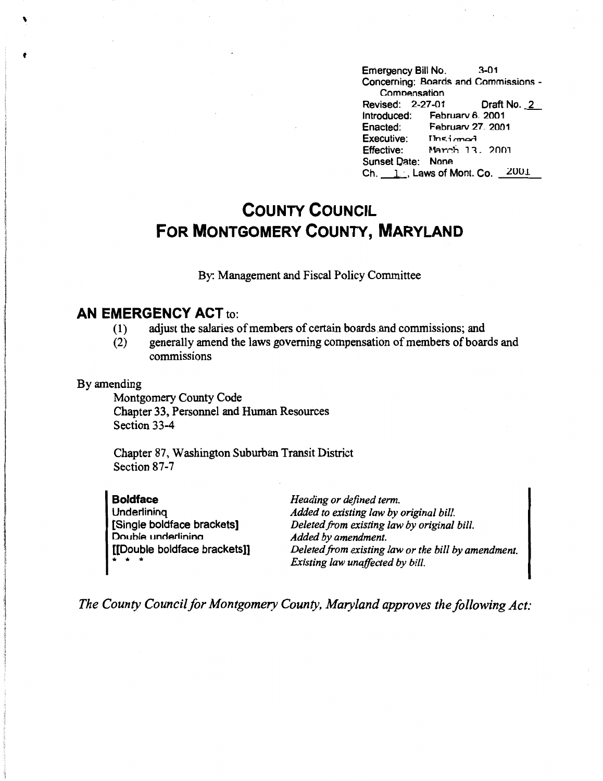Emergency Bill No. 3-01 Concerning: Boards and Commissions - Comnensation Revised: 2-27-01 Draft No. 2 Introduced: February 6, 2001<br>Enacted: February 27, 200 February 27, 2001 Executive: This i cmod  $Effective:$  March 13, 2001 Sunset Qate: None  $Ch. \_1$ , Laws of Mont. Co.  $1001$ 

## **COUNTY COUNCIL FOR MONTGOMERY COUNTY, MARYLAND**

By: Management and Fiscal Policy Committee

### **AN EMERGENCY ACT** to:

- ( 1) adjust the salaries of members of certain boards .and commissions; and
- (2) generally amend the laws governing compensation of members of boards and commissions

#### By amending

\

**t** 

Montgomery County Code Chapter 33, Personnel and Human Resources Section 33-4

Chapter 87, Washington Suburban Transit District Section 87-7

| <b>Boldface</b>              | Heading or defined term.                            |
|------------------------------|-----------------------------------------------------|
| Underlining                  | Added to existing law by original bill.             |
| [Single boldface brackets]   | Deleted from existing law by original bill.         |
| Double underlining           | Added by amendment.                                 |
| [[Double boldface brackets]] | Deleted from existing law or the bill by amendment. |
| .                            | Existing law unaffected by bill.                    |

*The County Council for Montgomery County, Maryland approves the following Act:*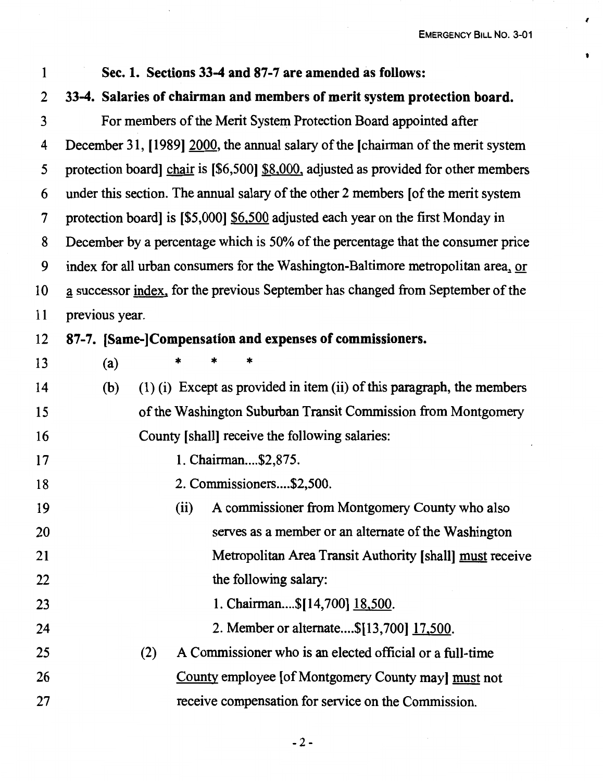$\cdot$ 

**1** 

# 2 **33-4. Salaries of chairman and members of merit system protection board.**  3 For members of the Merit System Protection Board appointed after 4 December 31, [1989] 2000, the annual salary of the [chairman of the merit system 5 protection board] chair is [\$6,500] \$8,000, adjusted as provided for other members 6 under this section. The annual salary of the other 2 members [of the merit system 7 protection board] is [\$5,000] \$6,500 adjusted each year on the first Monday in 8 December by a percentage which is 50% of the percentage that the consumer price 9 index for all urban consumers for the Washington-Baltimore metropolitan area,. or 10 ~ successor index, for the previous September has changed from September of the 11 previous year. 12 **87-7. (Same-]Compensation and expenses of commissioners.**  13 (a) \* \* \* 14 (b) (1) (i) Except as provided in item (ii) of this paragraph, the members 15 of the Washington Suburban Transit Commission from Montgomery 16 County [shall] receive the following salaries: 17 1. Chairman ... \$2,875. 18 2. Commissioners....\$2,500. 19 (ii) A commissioner from Montgomery County who also 20 serves as a member or an alternate of the Washington 21 Metropolitan Area Transit Authority [ shall] must receive 22 the following salary: 23 1. Chairman....\$[14,700] 18,500. 24 25 26 27 2. Member or alternate....\$[13,700] 17,500. (2) A Commissioner who is an elected official or a full-time County employee [of Montgomery County may] must not receive compensation for service on the Commission.

1 **Sec. 1. Sections 33-4 and 87-7 are amended as follows:**